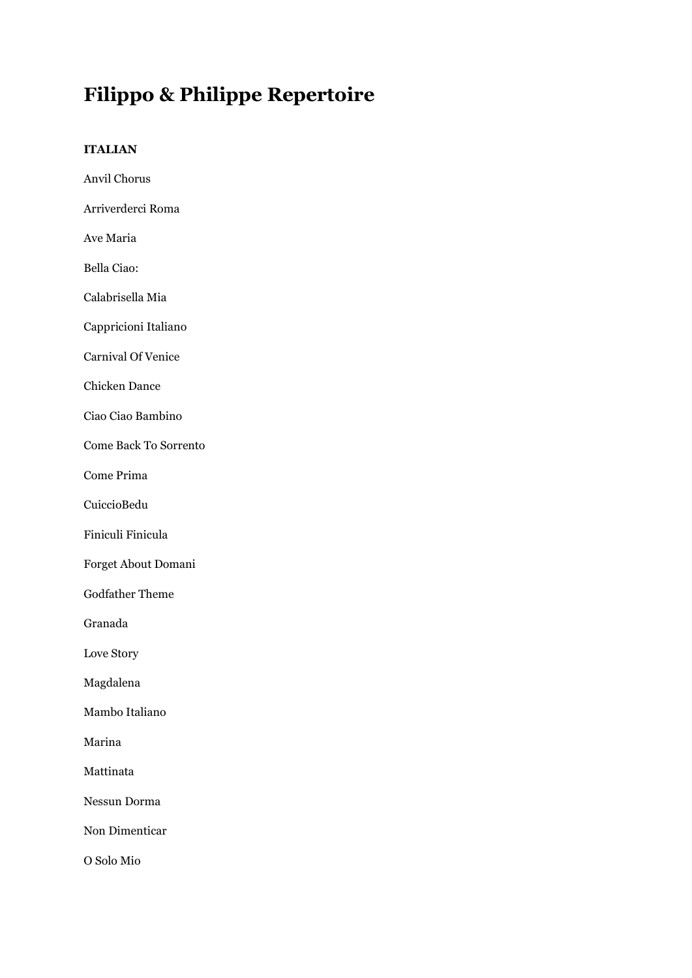# **Filippo & Philippe Repertoire**

# **ITALIAN**

| Anvil Chorus                 |
|------------------------------|
| Arriverderci Roma            |
| Ave Maria                    |
| Bella Ciao:                  |
| Calabrisella Mia             |
| Cappricioni Italiano         |
| <b>Carnival Of Venice</b>    |
| <b>Chicken Dance</b>         |
| Ciao Ciao Bambino            |
| <b>Come Back To Sorrento</b> |
| Come Prima                   |
| CuiccioBedu                  |
| Finiculi Finicula            |
| Forget About Domani          |
| <b>Godfather Theme</b>       |
| Granada                      |
| Love Story                   |
| Magdalena                    |
| Mambo Italiano               |
| Marina                       |
| Mattinata                    |
| Nessun Dorma                 |
| Non Dimenticar               |
| O Solo Mio                   |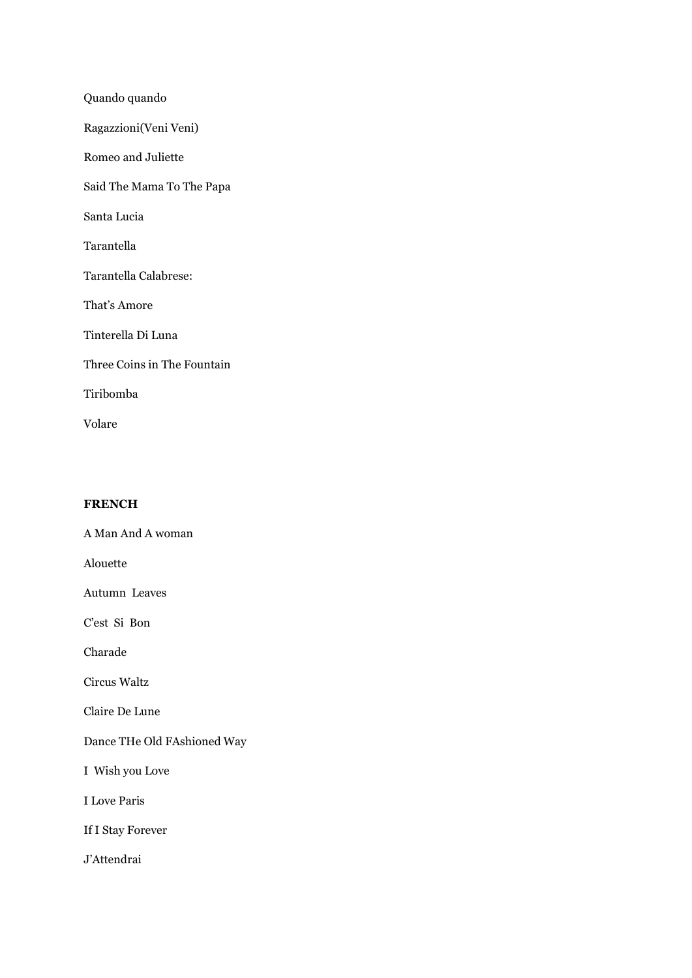Quando quando Ragazzioni(Veni Veni) Romeo and Juliette Said The Mama To The Papa Santa Lucia Tarantella Tarantella Calabrese: That's Amore Tinterella Di Luna Three Coins in The Fountain Tiribomba Volare

# **FRENCH**

A Man And A woman Alouette Autumn Leaves

C'est Si Bon

Charade

Circus Waltz

Claire De Lune

Dance THe Old FAshioned Way

I Wish you Love

I Love Paris

If I Stay Forever

J'Attendrai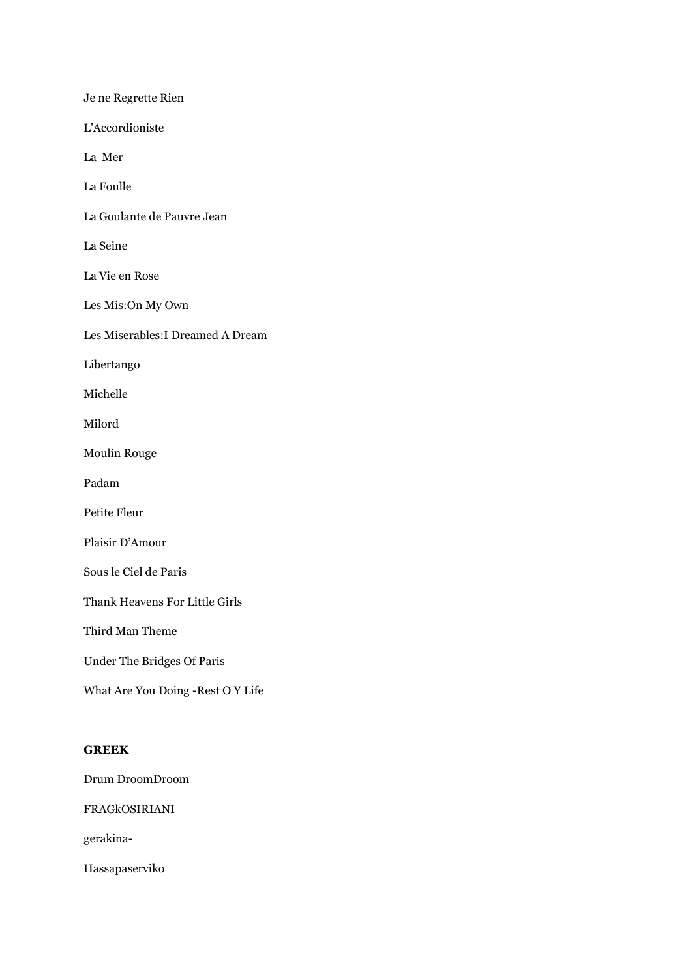Je ne Regrette Rien L'Accordioniste La Mer La Foulle La Goulante de Pauvre Jean La Seine La Vie en Rose Les Mis:On My Own Les Miserables:I Dreamed A Dream Libertango Michelle Milord Moulin Rouge Padam Petite Fleur Plaisir D'Amour Sous le Ciel de Paris Thank Heavens For Little Girls Third Man Theme Under The Bridges Of Paris What Are You Doing -Rest O Y Life **GREEK**

Drum DroomDroom

FRAGkOSIRIANI

gerakina-

Hassapaserviko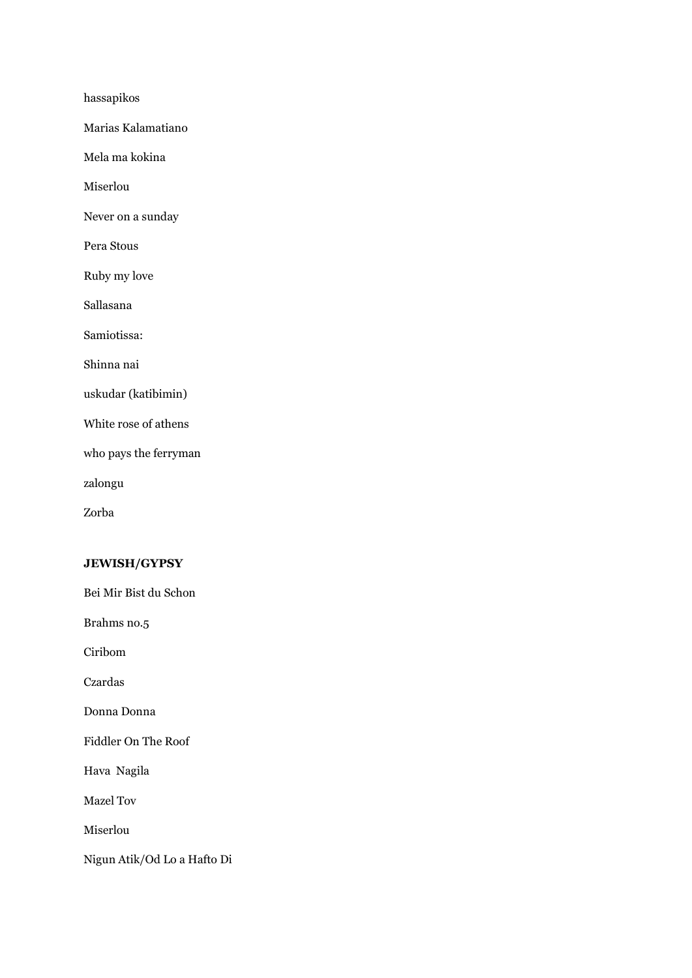hassapikos

Marias Kalamatiano

Mela ma kokina

Miserlou

Never on a sunday

Pera Stous

Ruby my love

Sallasana

Samiotissa:

Shinna nai

uskudar (katibimin)

White rose of athens

who pays the ferryman

zalongu

Zorba

# **JEWISH/GYPSY**

Bei Mir Bist du Schon

Brahms no.5

Ciribom

Czardas

Donna Donna

Fiddler On The Roof

Hava Nagila

Mazel Tov

Miserlou

Nigun Atik/Od Lo a Hafto Di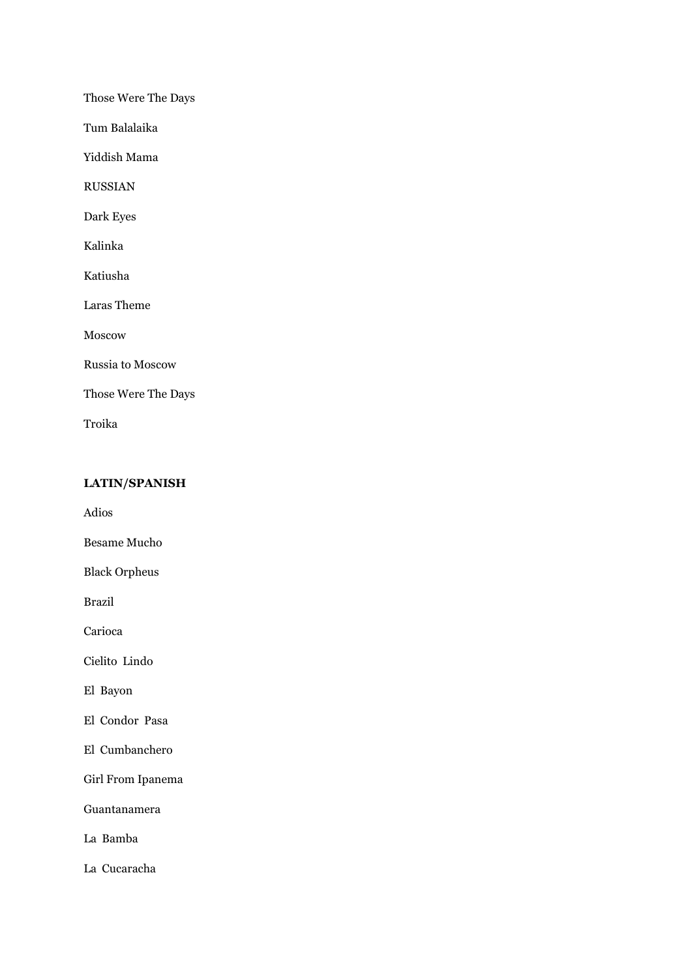Those Were The Days

Tum Balalaika

Yiddish Mama

RUSSIAN

Dark Eyes

Kalinka

Katiusha

Laras Theme

Moscow

Russia to Moscow

Those Were The Days

Troika

#### **LATIN/SPANISH**

Adios

Besame Mucho

Black Orpheus

Brazil

Carioca

Cielito Lindo

El Bayon

El Condor Pasa

El Cumbanchero

Girl From Ipanema

Guantanamera

La Bamba

La Cucaracha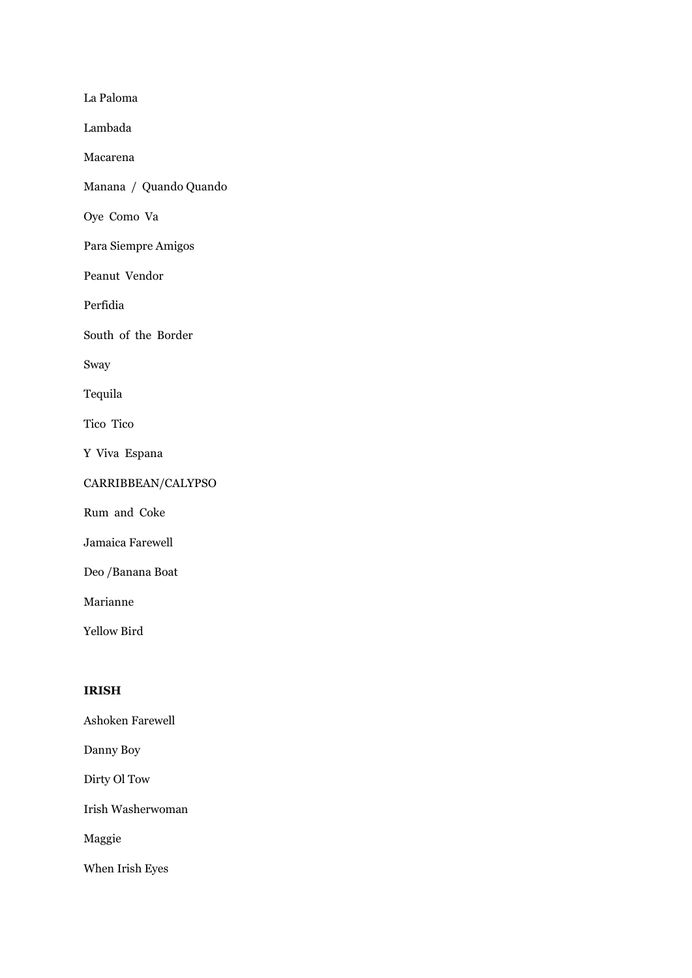La Paloma

Lambada

Macarena

Manana / Quando Quando

Oye Como Va

Para Siempre Amigos

Peanut Vendor

Perfidia

South of the Border

Sway

Tequila

Tico Tico

Y Viva Espana

# CARRIBBEAN/CALYPSO

Rum and Coke

Jamaica Farewell

Deo /Banana Boat

Marianne

Yellow Bird

#### **IRISH**

Ashoken Farewell

Danny Boy

Dirty Ol Tow

Irish Washerwoman

Maggie

When Irish Eyes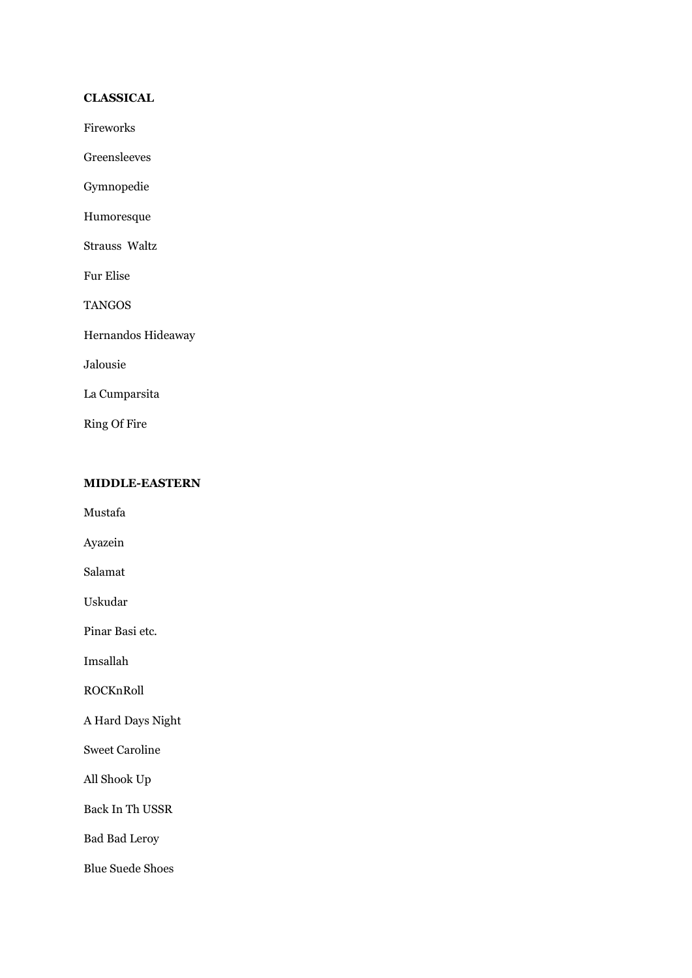# **CLASSICAL**

Fireworks

Greensleeves

Gymnopedie

Humoresque

Strauss Waltz

Fur Elise

TANGOS

Hernandos Hideaway

Jalousie

La Cumparsita

Ring Of Fire

#### **MIDDLE-EASTERN**

Mustafa

Ayazein

Salamat

Uskudar

Pinar Basi etc.

Imsallah

ROCKnRoll

A Hard Days Night

Sweet Caroline

All Shook Up

Back In Th USSR

Bad Bad Leroy

Blue Suede Shoes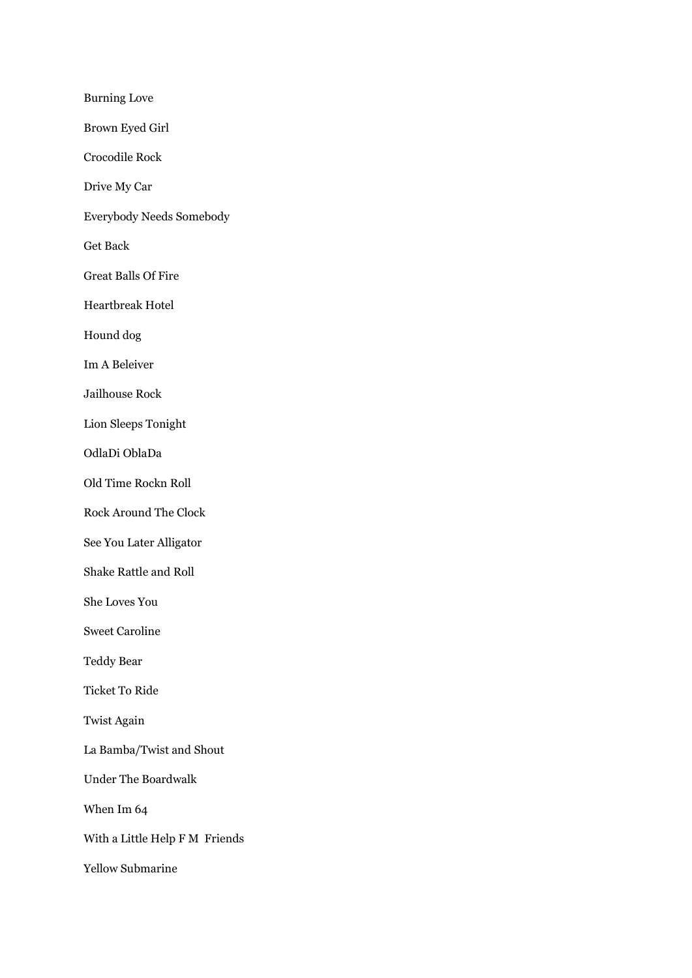Burning Love Brown Eyed Girl Crocodile Rock Drive My Car Everybody Needs Somebody Get Back Great Balls Of Fire Heartbreak Hotel Hound dog Im A Beleiver Jailhouse Rock Lion Sleeps Tonight OdlaDi OblaDa Old Time Rockn Roll Rock Around The Clock See You Later Alligator Shake Rattle and Roll She Loves You Sweet Caroline Teddy Bear Ticket To Ride Twist Again La Bamba/Twist and Shout Under The Boardwalk When Im 64 With a Little Help F M Friends Yellow Submarine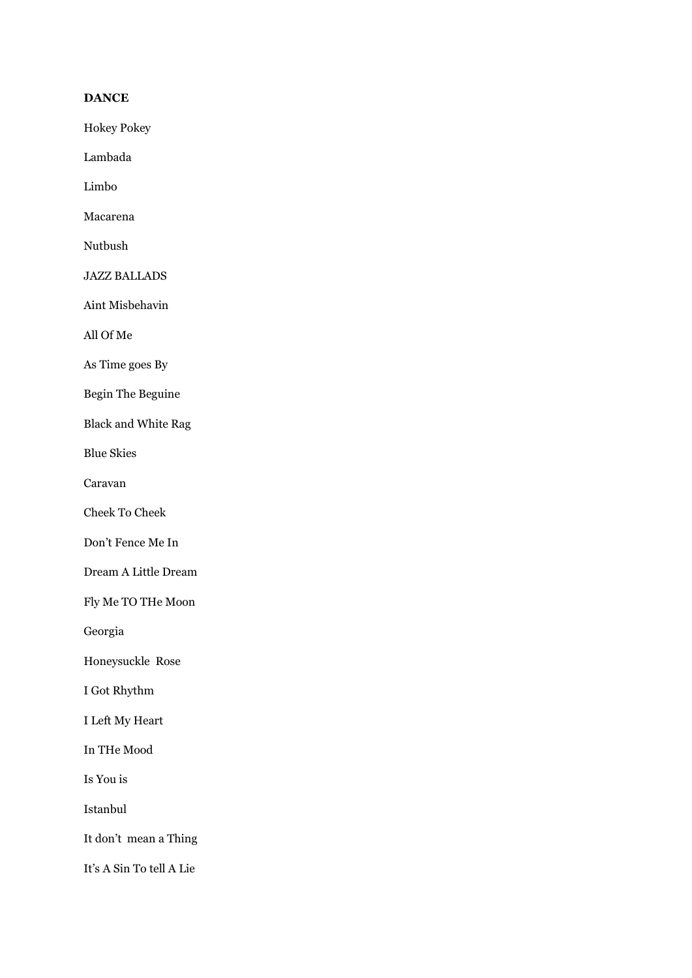# **DANCE**

Hokey Pokey

Lambada

Limbo

Macarena

Nutbush

JAZZ BALLADS

Aint Misbehavin

All Of Me

As Time goes By

Begin The Beguine

Black and White Rag

Blue Skies

Caravan

Cheek To Cheek

Don't Fence Me In

Dream A Little Dream

Fly Me TO THe Moon

Georgia

Honeysuckle Rose

I Got Rhythm

I Left My Heart

In THe Mood

Is You is

Istanbul

It don't mean a Thing

It's A Sin To tell A Lie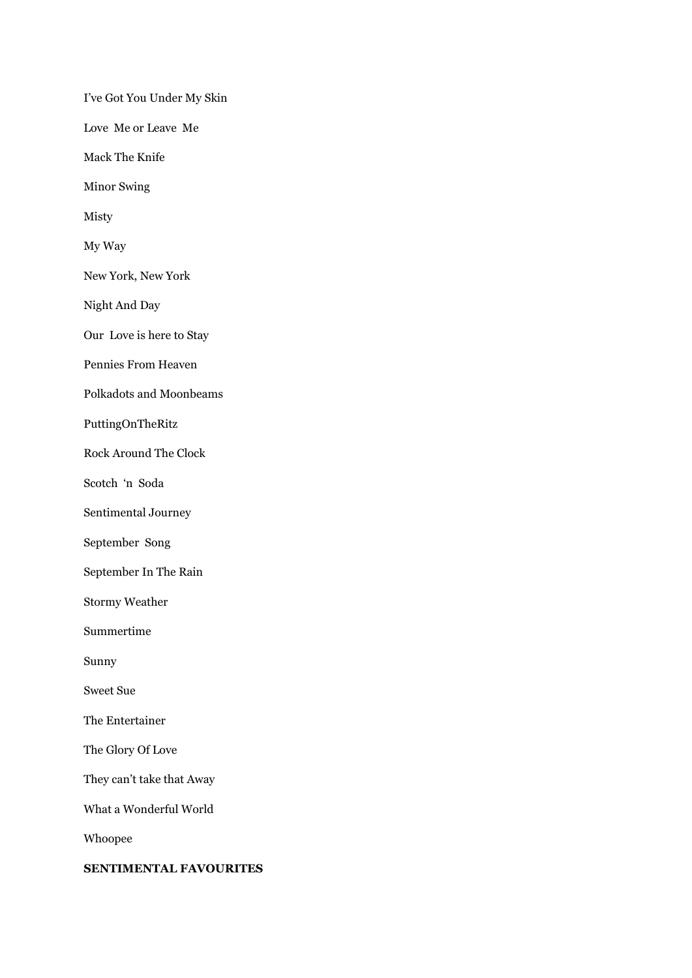I've Got You Under My Skin Love Me or Leave Me Mack The Knife Minor Swing Misty My Way New York, New York Night And Day Our Love is here to Stay Pennies From Heaven Polkadots and Moonbeams PuttingOnTheRitz Rock Around The Clock Scotch 'n Soda Sentimental Journey September Song September In The Rain Stormy Weather Summertime Sunny Sweet Sue The Entertainer The Glory Of Love They can't take that Away What a Wonderful World Whoopee **SENTIMENTAL FAVOURITES**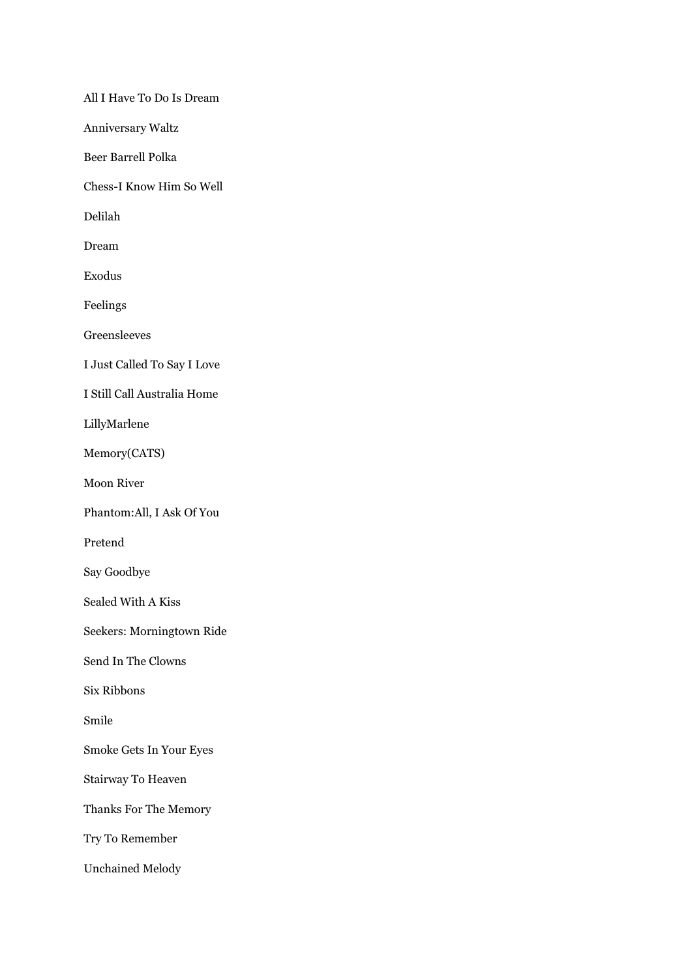All I Have To Do Is Dream Anniversary Waltz Beer Barrell Polka Chess-I Know Him So Well Delilah Dream Exodus Feelings Greensleeves I Just Called To Say I Love I Still Call Australia Home LillyMarlene Memory(CATS) Moon River Phantom:All, I Ask Of You Pretend Say Goodbye Sealed With A Kiss Seekers: Morningtown Ride Send In The Clowns Six Ribbons Smile Smoke Gets In Your Eyes Stairway To Heaven Thanks For The Memory Try To Remember Unchained Melody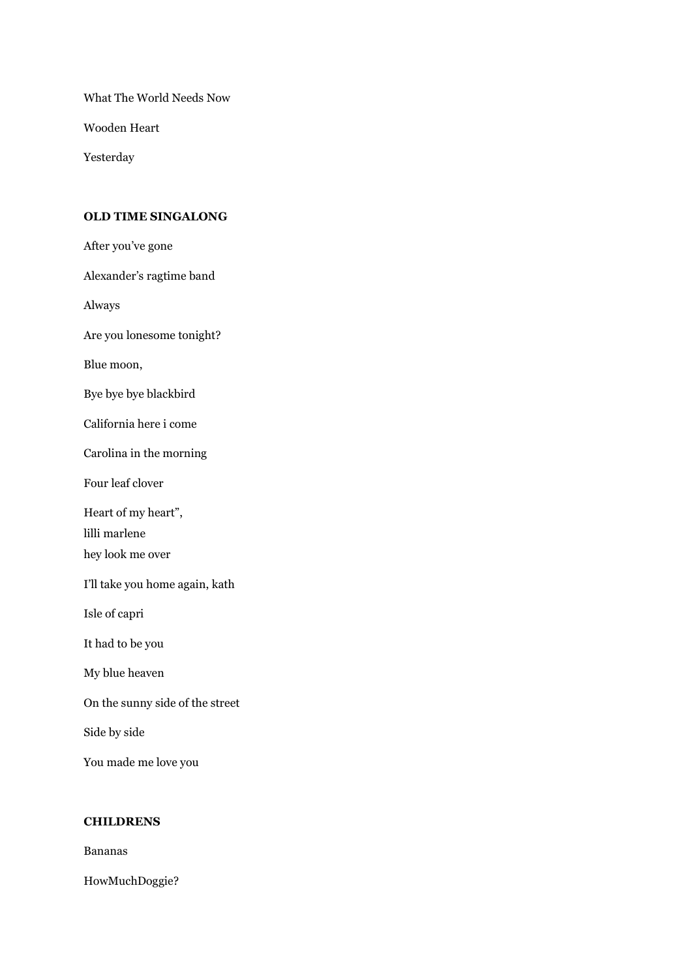What The World Needs Now

Wooden Heart

Yesterday

#### **OLD TIME SINGALONG**

After you've gone

Alexander's ragtime band

Always

Are you lonesome tonight?

Blue moon,

Bye bye bye blackbird

California here i come

Carolina in the morning

Four leaf clover

Heart of my heart",

lilli marlene

hey look me over

I'll take you home again, kath

Isle of capri

It had to be you

My blue heaven

On the sunny side of the street

Side by side

You made me love you

#### **CHILDRENS**

Bananas

HowMuchDoggie?